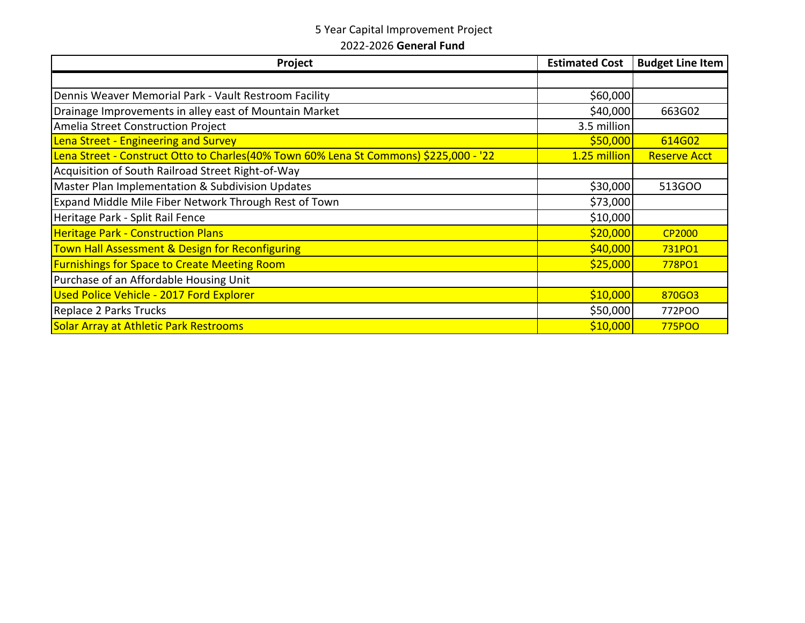## 5 Year Capital Improvement Project

2022-2026 **General Fund**

| Project                                                                               | <b>Estimated Cost</b> | <b>Budget Line Item</b> |
|---------------------------------------------------------------------------------------|-----------------------|-------------------------|
|                                                                                       |                       |                         |
| Dennis Weaver Memorial Park - Vault Restroom Facility                                 | \$60,000              |                         |
| Drainage Improvements in alley east of Mountain Market                                | \$40,000              | 663G02                  |
| Amelia Street Construction Project                                                    | 3.5 million           |                         |
| Lena Street - Engineering and Survey                                                  | \$50,000              | 614G02                  |
| Lena Street - Construct Otto to Charles(40% Town 60% Lena St Commons) \$225,000 - '22 | 1.25 million          | <b>Reserve Acct</b>     |
| Acquisition of South Railroad Street Right-of-Way                                     |                       |                         |
| Master Plan Implementation & Subdivision Updates                                      | \$30,000              | 513GOO                  |
| Expand Middle Mile Fiber Network Through Rest of Town                                 | \$73,000              |                         |
| Heritage Park - Split Rail Fence                                                      | \$10,000              |                         |
| <b>Heritage Park - Construction Plans</b>                                             | \$20,000              | <b>CP2000</b>           |
| Town Hall Assessment & Design for Reconfiguring                                       | \$40,000              | 731PO1                  |
| <b>Furnishings for Space to Create Meeting Room</b>                                   | \$25,000              | 778PO1                  |
| Purchase of an Affordable Housing Unit                                                |                       |                         |
| Used Police Vehicle - 2017 Ford Explorer                                              | \$10,000              | 870GO3                  |
| Replace 2 Parks Trucks                                                                | \$50,000              | 772POO                  |
| Solar Array at Athletic Park Restrooms                                                | \$10,000              | 775POO                  |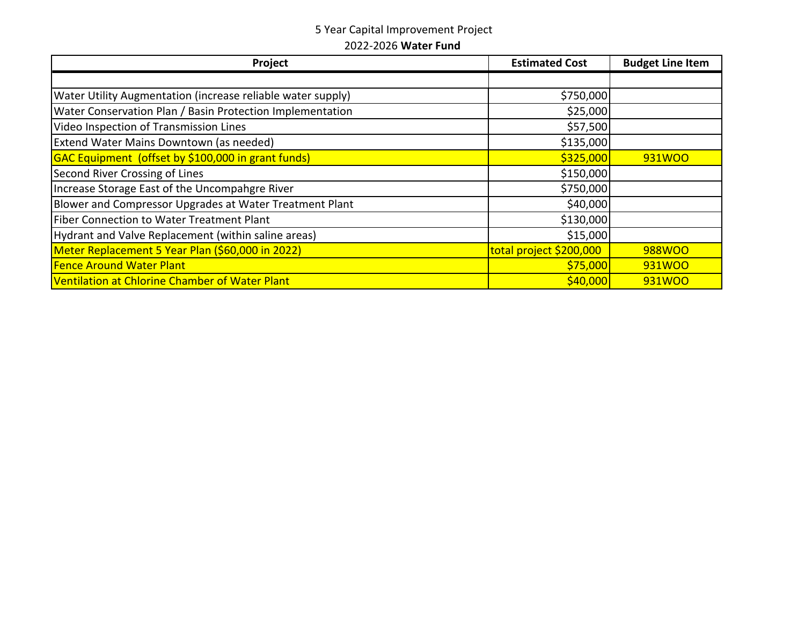## 5 Year Capital Improvement Project 2022-2026 **Water Fund**

| Project                                                     | <b>Estimated Cost</b>   | <b>Budget Line Item</b> |
|-------------------------------------------------------------|-------------------------|-------------------------|
|                                                             |                         |                         |
| Water Utility Augmentation (increase reliable water supply) | \$750,000               |                         |
| Water Conservation Plan / Basin Protection Implementation   | \$25,000                |                         |
| Video Inspection of Transmission Lines                      | \$57,500                |                         |
| Extend Water Mains Downtown (as needed)                     | \$135,000               |                         |
| GAC Equipment (offset by \$100,000 in grant funds)          | \$325,000               | 931WOO                  |
| Second River Crossing of Lines                              | \$150,000               |                         |
| Increase Storage East of the Uncompahgre River              | \$750,000               |                         |
| Blower and Compressor Upgrades at Water Treatment Plant     | \$40,000                |                         |
| Fiber Connection to Water Treatment Plant                   | \$130,000               |                         |
| Hydrant and Valve Replacement (within saline areas)         | \$15,000                |                         |
| Meter Replacement 5 Year Plan (\$60,000 in 2022)            | total project \$200,000 | 988WOO                  |
| <b>Fence Around Water Plant</b>                             | \$75,000                | 931WOO                  |
| Ventilation at Chlorine Chamber of Water Plant              | \$40,000                | 931WOO                  |